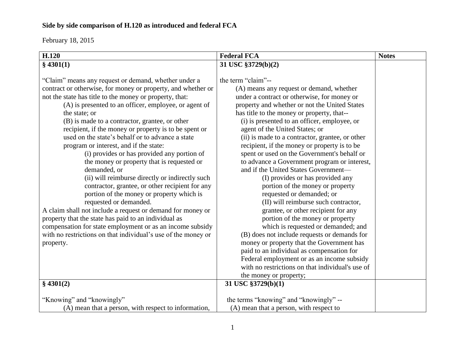| H.120                                                                                                                                                                                                                                                                                                                                                                                                                                                                                                                                                                                                                                                                                                                                                                                                                                                                                                                                                                                                                         | <b>Federal FCA</b>                                                                                                                                                                                                                                                                                                                                                                                                                                                                                                                                                                                                                                                                                                                                                                                                                                                                                                                                                                                                                                                            | <b>Notes</b> |
|-------------------------------------------------------------------------------------------------------------------------------------------------------------------------------------------------------------------------------------------------------------------------------------------------------------------------------------------------------------------------------------------------------------------------------------------------------------------------------------------------------------------------------------------------------------------------------------------------------------------------------------------------------------------------------------------------------------------------------------------------------------------------------------------------------------------------------------------------------------------------------------------------------------------------------------------------------------------------------------------------------------------------------|-------------------------------------------------------------------------------------------------------------------------------------------------------------------------------------------------------------------------------------------------------------------------------------------------------------------------------------------------------------------------------------------------------------------------------------------------------------------------------------------------------------------------------------------------------------------------------------------------------------------------------------------------------------------------------------------------------------------------------------------------------------------------------------------------------------------------------------------------------------------------------------------------------------------------------------------------------------------------------------------------------------------------------------------------------------------------------|--------------|
| \$4301(1)                                                                                                                                                                                                                                                                                                                                                                                                                                                                                                                                                                                                                                                                                                                                                                                                                                                                                                                                                                                                                     | 31 USC §3729(b)(2)                                                                                                                                                                                                                                                                                                                                                                                                                                                                                                                                                                                                                                                                                                                                                                                                                                                                                                                                                                                                                                                            |              |
| "Claim" means any request or demand, whether under a<br>contract or otherwise, for money or property, and whether or<br>not the state has title to the money or property, that:<br>(A) is presented to an officer, employee, or agent of<br>the state; or<br>(B) is made to a contractor, grantee, or other<br>recipient, if the money or property is to be spent or<br>used on the state's behalf or to advance a state<br>program or interest, and if the state:<br>(i) provides or has provided any portion of<br>the money or property that is requested or<br>demanded, or<br>(ii) will reimburse directly or indirectly such<br>contractor, grantee, or other recipient for any<br>portion of the money or property which is<br>requested or demanded.<br>A claim shall not include a request or demand for money or<br>property that the state has paid to an individual as<br>compensation for state employment or as an income subsidy<br>with no restrictions on that individual's use of the money or<br>property. | the term "claim"--<br>(A) means any request or demand, whether<br>under a contract or otherwise, for money or<br>property and whether or not the United States<br>has title to the money or property, that--<br>(i) is presented to an officer, employee, or<br>agent of the United States; or<br>(ii) is made to a contractor, grantee, or other<br>recipient, if the money or property is to be<br>spent or used on the Government's behalf or<br>to advance a Government program or interest,<br>and if the United States Government-<br>(I) provides or has provided any<br>portion of the money or property<br>requested or demanded; or<br>(II) will reimburse such contractor,<br>grantee, or other recipient for any<br>portion of the money or property<br>which is requested or demanded; and<br>(B) does not include requests or demands for<br>money or property that the Government has<br>paid to an individual as compensation for<br>Federal employment or as an income subsidy<br>with no restrictions on that individual's use of<br>the money or property; |              |
| \$4301(2)                                                                                                                                                                                                                                                                                                                                                                                                                                                                                                                                                                                                                                                                                                                                                                                                                                                                                                                                                                                                                     | 31 USC §3729(b)(1)                                                                                                                                                                                                                                                                                                                                                                                                                                                                                                                                                                                                                                                                                                                                                                                                                                                                                                                                                                                                                                                            |              |
|                                                                                                                                                                                                                                                                                                                                                                                                                                                                                                                                                                                                                                                                                                                                                                                                                                                                                                                                                                                                                               |                                                                                                                                                                                                                                                                                                                                                                                                                                                                                                                                                                                                                                                                                                                                                                                                                                                                                                                                                                                                                                                                               |              |
| "Knowing" and "knowingly"                                                                                                                                                                                                                                                                                                                                                                                                                                                                                                                                                                                                                                                                                                                                                                                                                                                                                                                                                                                                     | the terms "knowing" and "knowingly" --                                                                                                                                                                                                                                                                                                                                                                                                                                                                                                                                                                                                                                                                                                                                                                                                                                                                                                                                                                                                                                        |              |
| (A) mean that a person, with respect to information,                                                                                                                                                                                                                                                                                                                                                                                                                                                                                                                                                                                                                                                                                                                                                                                                                                                                                                                                                                          | (A) mean that a person, with respect to                                                                                                                                                                                                                                                                                                                                                                                                                                                                                                                                                                                                                                                                                                                                                                                                                                                                                                                                                                                                                                       |              |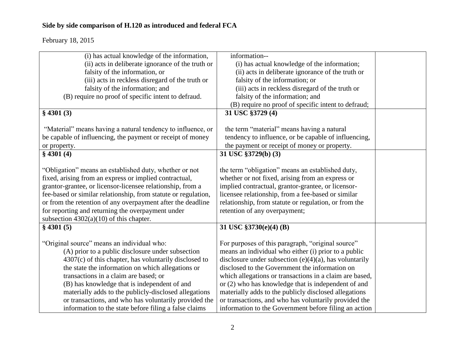| (i) has actual knowledge of the information,                   | information--                                             |  |
|----------------------------------------------------------------|-----------------------------------------------------------|--|
| (ii) acts in deliberate ignorance of the truth or              | (i) has actual knowledge of the information;              |  |
| falsity of the information, or                                 | (ii) acts in deliberate ignorance of the truth or         |  |
| (iii) acts in reckless disregard of the truth or               | falsity of the information; or                            |  |
| falsity of the information; and                                | (iii) acts in reckless disregard of the truth or          |  |
| (B) require no proof of specific intent to defraud.            | falsity of the information; and                           |  |
|                                                                | (B) require no proof of specific intent to defraud;       |  |
| $§$ 4301 (3)                                                   | 31 USC §3729 (4)                                          |  |
|                                                                |                                                           |  |
| "Material" means having a natural tendency to influence, or    | the term "material" means having a natural                |  |
| be capable of influencing, the payment or receipt of money     | tendency to influence, or be capable of influencing,      |  |
| or property.                                                   | the payment or receipt of money or property.              |  |
| \$4301(4)                                                      | 31 USC §3729(b) (3)                                       |  |
|                                                                |                                                           |  |
| "Obligation" means an established duty, whether or not         | the term "obligation" means an established duty,          |  |
| fixed, arising from an express or implied contractual,         | whether or not fixed, arising from an express or          |  |
| grantor-grantee, or licensor-licensee relationship, from a     | implied contractual, grantor-grantee, or licensor-        |  |
| fee-based or similar relationship, from statute or regulation, | licensee relationship, from a fee-based or similar        |  |
| or from the retention of any overpayment after the deadline    | relationship, from statute or regulation, or from the     |  |
| for reporting and returning the overpayment under              | retention of any overpayment;                             |  |
| subsection $4302(a)(10)$ of this chapter.                      |                                                           |  |
| $§$ 4301 (5)                                                   | 31 USC §3730(e)(4) (B)                                    |  |
|                                                                |                                                           |  |
| "Original source" means an individual who:                     | For purposes of this paragraph, "original source"         |  |
| (A) prior to a public disclosure under subsection              | means an individual who either (i) prior to a public      |  |
| $4307(c)$ of this chapter, has voluntarily disclosed to        | disclosure under subsection $(e)(4)(a)$ , has voluntarily |  |
| the state the information on which allegations or              | disclosed to the Government the information on            |  |
| transactions in a claim are based; or                          | which allegations or transactions in a claim are based,   |  |
| (B) has knowledge that is independent of and                   | or (2) who has knowledge that is independent of and       |  |
| materially adds to the publicly-disclosed allegations          | materially adds to the publicly disclosed allegations     |  |
| or transactions, and who has voluntarily provided the          | or transactions, and who has voluntarily provided the     |  |
| information to the state before filing a false claims          | information to the Government before filing an action     |  |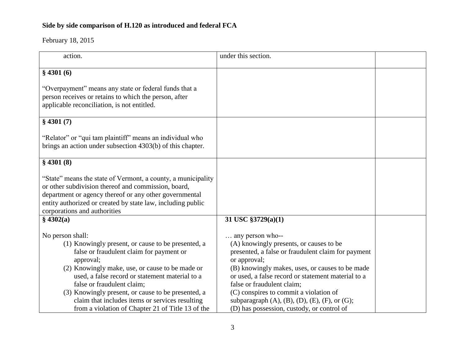| action.                                                                                                                                                                                                                                                                                                                                                                                                                           | under this section.                                                                                                                                                                                                                                                                                                                                                                                                                          |  |
|-----------------------------------------------------------------------------------------------------------------------------------------------------------------------------------------------------------------------------------------------------------------------------------------------------------------------------------------------------------------------------------------------------------------------------------|----------------------------------------------------------------------------------------------------------------------------------------------------------------------------------------------------------------------------------------------------------------------------------------------------------------------------------------------------------------------------------------------------------------------------------------------|--|
| \$4301(6)                                                                                                                                                                                                                                                                                                                                                                                                                         |                                                                                                                                                                                                                                                                                                                                                                                                                                              |  |
| "Overpayment" means any state or federal funds that a<br>person receives or retains to which the person, after<br>applicable reconciliation, is not entitled.                                                                                                                                                                                                                                                                     |                                                                                                                                                                                                                                                                                                                                                                                                                                              |  |
| \$4301(7)                                                                                                                                                                                                                                                                                                                                                                                                                         |                                                                                                                                                                                                                                                                                                                                                                                                                                              |  |
| "Relator" or "qui tam plaintiff" means an individual who<br>brings an action under subsection 4303(b) of this chapter.                                                                                                                                                                                                                                                                                                            |                                                                                                                                                                                                                                                                                                                                                                                                                                              |  |
| $§$ 4301 (8)                                                                                                                                                                                                                                                                                                                                                                                                                      |                                                                                                                                                                                                                                                                                                                                                                                                                                              |  |
| "State" means the state of Vermont, a county, a municipality<br>or other subdivision thereof and commission, board,<br>department or agency thereof or any other governmental<br>entity authorized or created by state law, including public<br>corporations and authorities                                                                                                                                                      |                                                                                                                                                                                                                                                                                                                                                                                                                                              |  |
| \$4302(a)                                                                                                                                                                                                                                                                                                                                                                                                                         | 31 USC $\S 3729(a)(1)$                                                                                                                                                                                                                                                                                                                                                                                                                       |  |
| No person shall:<br>(1) Knowingly present, or cause to be presented, a<br>false or fraudulent claim for payment or<br>approval;<br>(2) Knowingly make, use, or cause to be made or<br>used, a false record or statement material to a<br>false or fraudulent claim;<br>(3) Knowingly present, or cause to be presented, a<br>claim that includes items or services resulting<br>from a violation of Chapter 21 of Title 13 of the | $\ldots$ any person who--<br>(A) knowingly presents, or causes to be<br>presented, a false or fraudulent claim for payment<br>or approval;<br>(B) knowingly makes, uses, or causes to be made<br>or used, a false record or statement material to a<br>false or fraudulent claim;<br>(C) conspires to commit a violation of<br>subparagraph $(A)$ , $(B)$ , $(D)$ , $(E)$ , $(F)$ , or $(G)$ ;<br>(D) has possession, custody, or control of |  |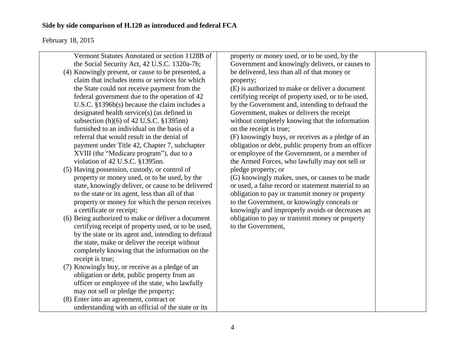| Vermont Statutes Annotated or section 1128B of      | property or money used, or to be used, by the       |  |
|-----------------------------------------------------|-----------------------------------------------------|--|
|                                                     |                                                     |  |
| the Social Security Act, 42 U.S.C. 1320a-7b;        | Government and knowingly delivers, or causes to     |  |
| (4) Knowingly present, or cause to be presented, a  | be delivered, less than all of that money or        |  |
| claim that includes items or services for which     | property;                                           |  |
| the State could not receive payment from the        | (E) is authorized to make or deliver a document     |  |
| federal government due to the operation of 42       | certifying receipt of property used, or to be used, |  |
| U.S.C. $$1396b(s)$ because the claim includes a     | by the Government and, intending to defraud the     |  |
| designated health service(s) (as defined in         | Government, makes or delivers the receipt           |  |
| subsection $(h)(6)$ of 42 U.S.C. $\S$ 1395nn)       | without completely knowing that the information     |  |
| furnished to an individual on the basis of a        | on the receipt is true;                             |  |
| referral that would result in the denial of         | (F) knowingly buys, or receives as a pledge of an   |  |
| payment under Title 42, Chapter 7, subchapter       | obligation or debt, public property from an officer |  |
| XVIII (the "Medicare program"), due to a            | or employee of the Government, or a member of       |  |
| violation of 42 U.S.C. §1395nn.                     | the Armed Forces, who lawfully may not sell or      |  |
| (5) Having possession, custody, or control of       | pledge property; or                                 |  |
| property or money used, or to be used, by the       | (G) knowingly makes, uses, or causes to be made     |  |
| state, knowingly deliver, or cause to be delivered  | or used, a false record or statement material to an |  |
| to the state or its agent, less than all of that    | obligation to pay or transmit money or property     |  |
| property or money for which the person receives     | to the Government, or knowingly conceals or         |  |
| a certificate or receipt;                           | knowingly and improperly avoids or decreases an     |  |
| (6) Being authorized to make or deliver a document  | obligation to pay or transmit money or property     |  |
|                                                     | to the Government,                                  |  |
| certifying receipt of property used, or to be used, |                                                     |  |
| by the state or its agent and, intending to defraud |                                                     |  |
| the state, make or deliver the receipt without      |                                                     |  |
| completely knowing that the information on the      |                                                     |  |
| receipt is true;                                    |                                                     |  |
| (7) Knowingly buy, or receive as a pledge of an     |                                                     |  |
| obligation or debt, public property from an         |                                                     |  |
| officer or employee of the state, who lawfully      |                                                     |  |
| may not sell or pledge the property;                |                                                     |  |
| (8) Enter into an agreement, contract or            |                                                     |  |
| understanding with an official of the state or its  |                                                     |  |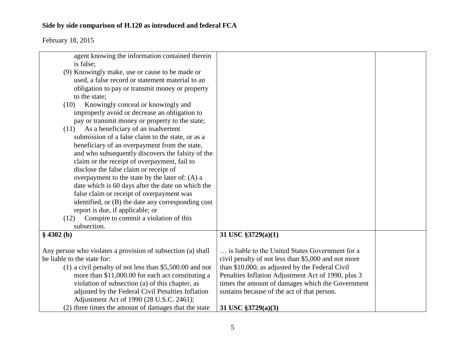| agent knowing the information contained therein<br>is false; |                                                     |  |
|--------------------------------------------------------------|-----------------------------------------------------|--|
|                                                              |                                                     |  |
| (9) Knowingly make, use or cause to be made or               |                                                     |  |
| used, a false record or statement material to an             |                                                     |  |
| obligation to pay or transmit money or property              |                                                     |  |
| to the state;                                                |                                                     |  |
| Knowingly conceal or knowingly and<br>(10)                   |                                                     |  |
| improperly avoid or decrease an obligation to                |                                                     |  |
| pay or transmit money or property to the state;              |                                                     |  |
| As a beneficiary of an inadvertent<br>(11)                   |                                                     |  |
| submission of a false claim to the state, or as a            |                                                     |  |
| beneficiary of an overpayment from the state,                |                                                     |  |
|                                                              |                                                     |  |
| and who subsequently discovers the falsity of the            |                                                     |  |
| claim or the receipt of overpayment, fail to                 |                                                     |  |
| disclose the false claim or receipt of                       |                                                     |  |
| overpayment to the state by the later of: (A) a              |                                                     |  |
| date which is 60 days after the date on which the            |                                                     |  |
| false claim or receipt of overpayment was                    |                                                     |  |
| identified, or (B) the date any corresponding cost           |                                                     |  |
| report is due, if applicable; or                             |                                                     |  |
| Conspire to commit a violation of this<br>(12)               |                                                     |  |
| subsection.                                                  |                                                     |  |
| $§$ 4302 (b)                                                 | 31 USC §3729(a)(1)                                  |  |
|                                                              |                                                     |  |
| Any person who violates a provision of subsection (a) shall  | is liable to the United States Government for a     |  |
| be liable to the state for:                                  | civil penalty of not less than \$5,000 and not more |  |
| $(1)$ a civil penalty of not less than \$5,500.00 and not    | than \$10,000, as adjusted by the Federal Civil     |  |
| more than \$11,000.00 for each act constituting a            | Penalties Inflation Adjustment Act of 1990, plus 3  |  |
| violation of subsection (a) of this chapter, as              | times the amount of damages which the Government    |  |
| adjusted by the Federal Civil Penalties Inflation            | sustains because of the act of that person.         |  |
| Adjustment Act of 1990 (28 U.S.C. 2461);                     |                                                     |  |
| (2) three times the amount of damages that the state         | 31 USC §3729(a)(3)                                  |  |
|                                                              |                                                     |  |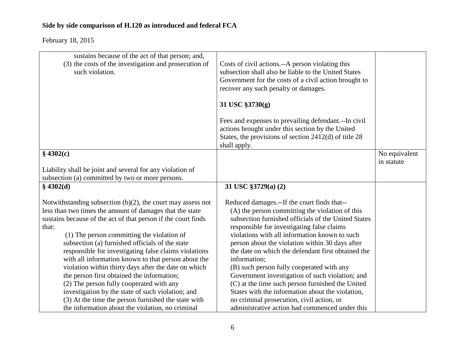| sustains because of the act of that person; and,<br>(3) the costs of the investigation and prosecution of<br>such violation. | Costs of civil actions.--A person violating this<br>subsection shall also be liable to the United States<br>Government for the costs of a civil action brought to<br>recover any such penalty or damages. |               |
|------------------------------------------------------------------------------------------------------------------------------|-----------------------------------------------------------------------------------------------------------------------------------------------------------------------------------------------------------|---------------|
|                                                                                                                              | 31 USC §3730(g)                                                                                                                                                                                           |               |
|                                                                                                                              |                                                                                                                                                                                                           |               |
|                                                                                                                              | Fees and expenses to prevailing defendant.--In civil<br>actions brought under this section by the United                                                                                                  |               |
|                                                                                                                              | States, the provisions of section $2412(d)$ of title 28                                                                                                                                                   |               |
|                                                                                                                              | shall apply.                                                                                                                                                                                              |               |
| \$4302(c)                                                                                                                    |                                                                                                                                                                                                           | No equivalent |
|                                                                                                                              |                                                                                                                                                                                                           | in statute    |
| Liability shall be joint and several for any violation of                                                                    |                                                                                                                                                                                                           |               |
| subsection (a) committed by two or more persons.                                                                             |                                                                                                                                                                                                           |               |
| \$4302(d)                                                                                                                    | 31 USC §3729(a) (2)                                                                                                                                                                                       |               |
| Notwithstanding subsection $(b)(2)$ , the court may assess not                                                               | Reduced damages.--If the court finds that--                                                                                                                                                               |               |
| less than two times the amount of damages that the state                                                                     | (A) the person committing the violation of this                                                                                                                                                           |               |
| sustains because of the act of that person if the court finds                                                                | subsection furnished officials of the United States                                                                                                                                                       |               |
| that:                                                                                                                        | responsible for investigating false claims                                                                                                                                                                |               |
| (1) The person committing the violation of                                                                                   | violations with all information known to such                                                                                                                                                             |               |
| subsection (a) furnished officials of the state                                                                              | person about the violation within 30 days after                                                                                                                                                           |               |
| responsible for investigating false claims violations                                                                        | the date on which the defendant first obtained the                                                                                                                                                        |               |
| with all information known to that person about the                                                                          | information;                                                                                                                                                                                              |               |
| violation within thirty days after the date on which                                                                         | (B) such person fully cooperated with any                                                                                                                                                                 |               |
| the person first obtained the information;                                                                                   | Government investigation of such violation; and                                                                                                                                                           |               |
| (2) The person fully cooperated with any                                                                                     | (C) at the time such person furnished the United                                                                                                                                                          |               |
| investigation by the state of such violation; and                                                                            | States with the information about the violation,                                                                                                                                                          |               |
| (3) At the time the person furnished the state with                                                                          | no criminal prosecution, civil action, or                                                                                                                                                                 |               |
| the information about the violation, no criminal                                                                             | administrative action had commenced under this                                                                                                                                                            |               |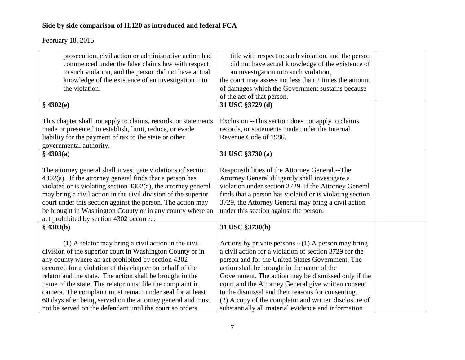| prosecution, civil action or administrative action had            | title with respect to such violation, and the person     |  |
|-------------------------------------------------------------------|----------------------------------------------------------|--|
| commenced under the false claims law with respect                 | did not have actual knowledge of the existence of        |  |
| to such violation, and the person did not have actual             | an investigation into such violation,                    |  |
| knowledge of the existence of an investigation into               | the court may assess not less than 2 times the amount    |  |
| the violation.                                                    | of damages which the Government sustains because         |  |
|                                                                   | of the act of that person.                               |  |
| \$4302(e)                                                         | 31 USC §3729 (d)                                         |  |
|                                                                   |                                                          |  |
| This chapter shall not apply to claims, records, or statements    | Exclusion.--This section does not apply to claims,       |  |
| made or presented to establish, limit, reduce, or evade           | records, or statements made under the Internal           |  |
| liability for the payment of tax to the state or other            | Revenue Code of 1986.                                    |  |
| governmental authority.                                           |                                                          |  |
| \$4303(a)                                                         | 31 USC §3730 (a)                                         |  |
|                                                                   |                                                          |  |
| The attorney general shall investigate violations of section      | Responsibilities of the Attorney General.--The           |  |
| $4302(a)$ . If the attorney general finds that a person has       | Attorney General diligently shall investigate a          |  |
| violated or is violating section $4302(a)$ , the attorney general | violation under section 3729. If the Attorney General    |  |
| may bring a civil action in the civil division of the superior    | finds that a person has violated or is violating section |  |
| court under this section against the person. The action may       | 3729, the Attorney General may bring a civil action      |  |
| be brought in Washington County or in any county where an         | under this section against the person.                   |  |
| act prohibited by section 4302 occurred.                          |                                                          |  |
| \$4303(b)                                                         | 31 USC §3730(b)                                          |  |
|                                                                   |                                                          |  |
| (1) A relator may bring a civil action in the civil               | Actions by private persons. $-(1)$ A person may bring    |  |
| division of the superior court in Washington County or in         | a civil action for a violation of section 3729 for the   |  |
| any county where an act prohibited by section 4302                | person and for the United States Government. The         |  |
| occurred for a violation of this chapter on behalf of the         | action shall be brought in the name of the               |  |
| relator and the state. The action shall be brought in the         | Government. The action may be dismissed only if the      |  |
| name of the state. The relator must file the complaint in         | court and the Attorney General give written consent      |  |
| camera. The complaint must remain under seal for at least         | to the dismissal and their reasons for consenting.       |  |
| 60 days after being served on the attorney general and must       | (2) A copy of the complaint and written disclosure of    |  |
| not be served on the defendant until the court so orders.         | substantially all material evidence and information      |  |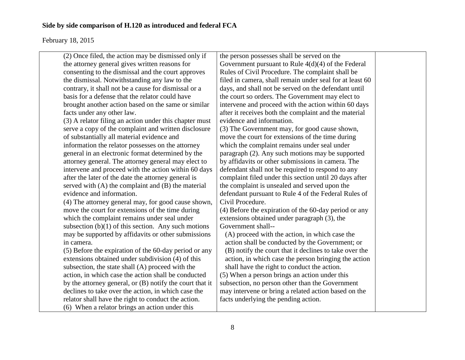| (2) Once filed, the action may be dismissed only if      | the person possesses shall be served on the              |  |
|----------------------------------------------------------|----------------------------------------------------------|--|
| the attorney general gives written reasons for           | Government pursuant to Rule $4(d)(4)$ of the Federal     |  |
| consenting to the dismissal and the court approves       | Rules of Civil Procedure. The complaint shall be         |  |
| the dismissal. Notwithstanding any law to the            | filed in camera, shall remain under seal for at least 60 |  |
| contrary, it shall not be a cause for dismissal or a     | days, and shall not be served on the defendant until     |  |
| basis for a defense that the relator could have          | the court so orders. The Government may elect to         |  |
| brought another action based on the same or similar      | intervene and proceed with the action within 60 days     |  |
| facts under any other law.                               | after it receives both the complaint and the material    |  |
| (3) A relator filing an action under this chapter must   | evidence and information.                                |  |
| serve a copy of the complaint and written disclosure     | (3) The Government may, for good cause shown,            |  |
| of substantially all material evidence and               | move the court for extensions of the time during         |  |
| information the relator possesses on the attorney        | which the complaint remains under seal under             |  |
| general in an electronic format determined by the        | paragraph (2). Any such motions may be supported         |  |
| attorney general. The attorney general may elect to      | by affidavits or other submissions in camera. The        |  |
| intervene and proceed with the action within 60 days     | defendant shall not be required to respond to any        |  |
| after the later of the date the attorney general is      | complaint filed under this section until 20 days after   |  |
| served with $(A)$ the complaint and $(B)$ the material   | the complaint is unsealed and served upon the            |  |
| evidence and information.                                | defendant pursuant to Rule 4 of the Federal Rules of     |  |
| (4) The attorney general may, for good cause shown,      | Civil Procedure.                                         |  |
| move the court for extensions of the time during         | (4) Before the expiration of the 60-day period or any    |  |
| which the complaint remains under seal under             | extensions obtained under paragraph (3), the             |  |
| subsection $(b)(1)$ of this section. Any such motions    | Government shall--                                       |  |
| may be supported by affidavits or other submissions      | (A) proceed with the action, in which case the           |  |
| in camera.                                               | action shall be conducted by the Government; or          |  |
| (5) Before the expiration of the 60-day period or any    | (B) notify the court that it declines to take over the   |  |
| extensions obtained under subdivision (4) of this        | action, in which case the person bringing the action     |  |
| subsection, the state shall (A) proceed with the         | shall have the right to conduct the action.              |  |
| action, in which case the action shall be conducted      | (5) When a person brings an action under this            |  |
| by the attorney general, or (B) notify the court that it | subsection, no person other than the Government          |  |
| declines to take over the action, in which case the      | may intervene or bring a related action based on the     |  |
| relator shall have the right to conduct the action.      | facts underlying the pending action.                     |  |
| (6) When a relator brings an action under this           |                                                          |  |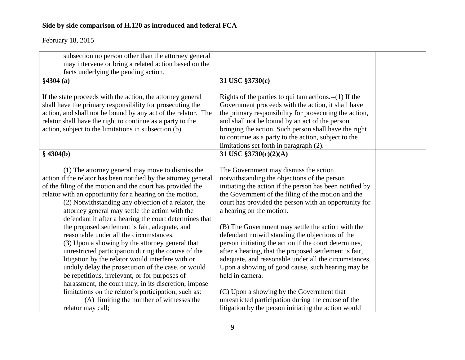| subsection no person other than the attorney general                                                            |                                                                                                  |  |
|-----------------------------------------------------------------------------------------------------------------|--------------------------------------------------------------------------------------------------|--|
| may intervene or bring a related action based on the                                                            |                                                                                                  |  |
| facts underlying the pending action.                                                                            |                                                                                                  |  |
| \$4304(a)                                                                                                       | 31 USC §3730(c)                                                                                  |  |
| If the state proceeds with the action, the attorney general                                                     | Rights of the parties to qui tam actions. $-(1)$ If the                                          |  |
| shall have the primary responsibility for prosecuting the                                                       | Government proceeds with the action, it shall have                                               |  |
| action, and shall not be bound by any act of the relator. The                                                   | the primary responsibility for prosecuting the action,                                           |  |
| relator shall have the right to continue as a party to the                                                      | and shall not be bound by an act of the person                                                   |  |
| action, subject to the limitations in subsection (b).                                                           | bringing the action. Such person shall have the right                                            |  |
|                                                                                                                 | to continue as a party to the action, subject to the                                             |  |
|                                                                                                                 | limitations set forth in paragraph (2).                                                          |  |
| \$4304(b)                                                                                                       | 31 USC §3730(c)(2)(A)                                                                            |  |
|                                                                                                                 |                                                                                                  |  |
| (1) The attorney general may move to dismiss the                                                                | The Government may dismiss the action                                                            |  |
| action if the relator has been notified by the attorney general                                                 | notwithstanding the objections of the person                                                     |  |
| of the filing of the motion and the court has provided the                                                      | initiating the action if the person has been notified by                                         |  |
|                                                                                                                 | the Government of the filing of the motion and the                                               |  |
| relator with an opportunity for a hearing on the motion.<br>(2) Notwithstanding any objection of a relator, the | court has provided the person with an opportunity for                                            |  |
| attorney general may settle the action with the                                                                 | a hearing on the motion.                                                                         |  |
| defendant if after a hearing the court determines that                                                          |                                                                                                  |  |
| the proposed settlement is fair, adequate, and                                                                  | (B) The Government may settle the action with the                                                |  |
| reasonable under all the circumstances.                                                                         | defendant notwithstanding the objections of the                                                  |  |
|                                                                                                                 | person initiating the action if the court determines,                                            |  |
| (3) Upon a showing by the attorney general that<br>unrestricted participation during the course of the          | after a hearing, that the proposed settlement is fair,                                           |  |
| litigation by the relator would interfere with or                                                               | adequate, and reasonable under all the circumstances.                                            |  |
| unduly delay the prosecution of the case, or would                                                              | Upon a showing of good cause, such hearing may be                                                |  |
| be repetitious, irrelevant, or for purposes of                                                                  | held in camera.                                                                                  |  |
| harassment, the court may, in its discretion, impose                                                            |                                                                                                  |  |
|                                                                                                                 |                                                                                                  |  |
| limitations on the relator's participation, such as:<br>(A) limiting the number of witnesses the                | (C) Upon a showing by the Government that<br>unrestricted participation during the course of the |  |
| relator may call;                                                                                               | litigation by the person initiating the action would                                             |  |
|                                                                                                                 |                                                                                                  |  |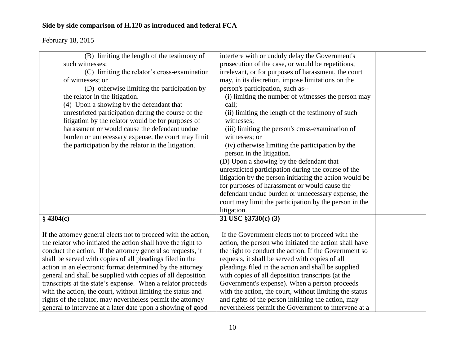| (B) limiting the length of the testimony of                    | interfere with or unduly delay the Government's         |  |
|----------------------------------------------------------------|---------------------------------------------------------|--|
| such witnesses;                                                | prosecution of the case, or would be repetitious,       |  |
| (C) limiting the relator's cross-examination                   | irrelevant, or for purposes of harassment, the court    |  |
| of witnesses; or                                               | may, in its discretion, impose limitations on the       |  |
| (D) otherwise limiting the participation by                    | person's participation, such as--                       |  |
| the relator in the litigation.                                 | (i) limiting the number of witnesses the person may     |  |
| (4) Upon a showing by the defendant that                       | call;                                                   |  |
| unrestricted participation during the course of the            | (ii) limiting the length of the testimony of such       |  |
| litigation by the relator would be for purposes of             | witnesses:                                              |  |
| harassment or would cause the defendant undue                  | (iii) limiting the person's cross-examination of        |  |
| burden or unnecessary expense, the court may limit             | witnesses; or                                           |  |
| the participation by the relator in the litigation.            | (iv) otherwise limiting the participation by the        |  |
|                                                                | person in the litigation.                               |  |
|                                                                | (D) Upon a showing by the defendant that                |  |
|                                                                | unrestricted participation during the course of the     |  |
|                                                                | litigation by the person initiating the action would be |  |
|                                                                | for purposes of harassment or would cause the           |  |
|                                                                | defendant undue burden or unnecessary expense, the      |  |
|                                                                | court may limit the participation by the person in the  |  |
|                                                                | litigation.                                             |  |
| \$4304(c)                                                      | 31 USC §3730(c) (3)                                     |  |
|                                                                |                                                         |  |
| If the attorney general elects not to proceed with the action, | If the Government elects not to proceed with the        |  |
| the relator who initiated the action shall have the right to   | action, the person who initiated the action shall have  |  |
| conduct the action. If the attorney general so requests, it    | the right to conduct the action. If the Government so   |  |
| shall be served with copies of all pleadings filed in the      | requests, it shall be served with copies of all         |  |
| action in an electronic format determined by the attorney      | pleadings filed in the action and shall be supplied     |  |
| general and shall be supplied with copies of all deposition    | with copies of all deposition transcripts (at the       |  |
| transcripts at the state's expense. When a relator proceeds    | Government's expense). When a person proceeds           |  |
| with the action, the court, without limiting the status and    | with the action, the court, without limiting the status |  |
| rights of the relator, may nevertheless permit the attorney    | and rights of the person initiating the action, may     |  |
| general to intervene at a later date upon a showing of good    | nevertheless permit the Government to intervene at a    |  |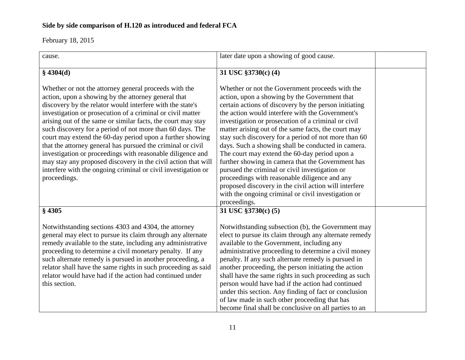| cause.                                                                                                                                                                                                                                                                                                                                                                                                                                                                                                                                                                                                                                                                                                           | later date upon a showing of good cause.                                                                                                                                                                                                                                                                                                                                                                                                                                                                                                                                                                                                                                                                                                                                           |  |
|------------------------------------------------------------------------------------------------------------------------------------------------------------------------------------------------------------------------------------------------------------------------------------------------------------------------------------------------------------------------------------------------------------------------------------------------------------------------------------------------------------------------------------------------------------------------------------------------------------------------------------------------------------------------------------------------------------------|------------------------------------------------------------------------------------------------------------------------------------------------------------------------------------------------------------------------------------------------------------------------------------------------------------------------------------------------------------------------------------------------------------------------------------------------------------------------------------------------------------------------------------------------------------------------------------------------------------------------------------------------------------------------------------------------------------------------------------------------------------------------------------|--|
| \$4304(d)                                                                                                                                                                                                                                                                                                                                                                                                                                                                                                                                                                                                                                                                                                        | 31 USC §3730(c) (4)                                                                                                                                                                                                                                                                                                                                                                                                                                                                                                                                                                                                                                                                                                                                                                |  |
| Whether or not the attorney general proceeds with the<br>action, upon a showing by the attorney general that<br>discovery by the relator would interfere with the state's<br>investigation or prosecution of a criminal or civil matter<br>arising out of the same or similar facts, the court may stay<br>such discovery for a period of not more than 60 days. The<br>court may extend the 60-day period upon a further showing<br>that the attorney general has pursued the criminal or civil<br>investigation or proceedings with reasonable diligence and<br>may stay any proposed discovery in the civil action that will<br>interfere with the ongoing criminal or civil investigation or<br>proceedings. | Whether or not the Government proceeds with the<br>action, upon a showing by the Government that<br>certain actions of discovery by the person initiating<br>the action would interfere with the Government's<br>investigation or prosecution of a criminal or civil<br>matter arising out of the same facts, the court may<br>stay such discovery for a period of not more than 60<br>days. Such a showing shall be conducted in camera.<br>The court may extend the 60-day period upon a<br>further showing in camera that the Government has<br>pursued the criminal or civil investigation or<br>proceedings with reasonable diligence and any<br>proposed discovery in the civil action will interfere<br>with the ongoing criminal or civil investigation or<br>proceedings. |  |
| $§$ 4305                                                                                                                                                                                                                                                                                                                                                                                                                                                                                                                                                                                                                                                                                                         | 31 USC §3730(c) (5)                                                                                                                                                                                                                                                                                                                                                                                                                                                                                                                                                                                                                                                                                                                                                                |  |
| Notwithstanding sections 4303 and 4304, the attorney<br>general may elect to pursue its claim through any alternate<br>remedy available to the state, including any administrative<br>proceeding to determine a civil monetary penalty. If any<br>such alternate remedy is pursued in another proceeding, a<br>relator shall have the same rights in such proceeding as said<br>relator would have had if the action had continued under<br>this section.                                                                                                                                                                                                                                                        | Notwithstanding subsection (b), the Government may<br>elect to pursue its claim through any alternate remedy<br>available to the Government, including any<br>administrative proceeding to determine a civil money<br>penalty. If any such alternate remedy is pursued in<br>another proceeding, the person initiating the action<br>shall have the same rights in such proceeding as such<br>person would have had if the action had continued<br>under this section. Any finding of fact or conclusion<br>of law made in such other proceeding that has<br>become final shall be conclusive on all parties to an                                                                                                                                                                 |  |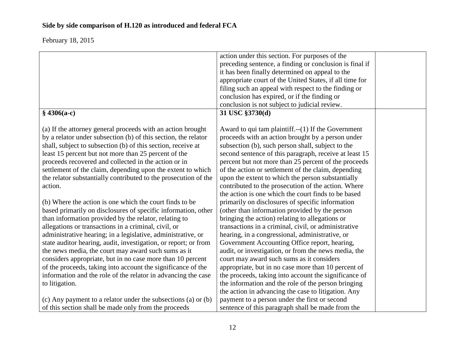|                                                                 | action under this section. For purposes of the          |  |
|-----------------------------------------------------------------|---------------------------------------------------------|--|
|                                                                 | preceding sentence, a finding or conclusion is final if |  |
|                                                                 | it has been finally determined on appeal to the         |  |
|                                                                 | appropriate court of the United States, if all time for |  |
|                                                                 | filing such an appeal with respect to the finding or    |  |
|                                                                 | conclusion has expired, or if the finding or            |  |
|                                                                 | conclusion is not subject to judicial review.           |  |
| $$4306(a-c)$                                                    | 31 USC §3730(d)                                         |  |
|                                                                 |                                                         |  |
| (a) If the attorney general proceeds with an action brought     | Award to qui tam plaintiff. $-(1)$ If the Government    |  |
| by a relator under subsection (b) of this section, the relator  | proceeds with an action brought by a person under       |  |
| shall, subject to subsection (b) of this section, receive at    | subsection (b), such person shall, subject to the       |  |
| least 15 percent but not more than 25 percent of the            | second sentence of this paragraph, receive at least 15  |  |
| proceeds recovered and collected in the action or in            | percent but not more than 25 percent of the proceeds    |  |
| settlement of the claim, depending upon the extent to which     | of the action or settlement of the claim, depending     |  |
| the relator substantially contributed to the prosecution of the | upon the extent to which the person substantially       |  |
| action.                                                         | contributed to the prosecution of the action. Where     |  |
|                                                                 | the action is one which the court finds to be based     |  |
| (b) Where the action is one which the court finds to be         | primarily on disclosures of specific information        |  |
| based primarily on disclosures of specific information, other   | (other than information provided by the person          |  |
| than information provided by the relator, relating to           | bringing the action) relating to allegations or         |  |
| allegations or transactions in a criminal, civil, or            | transactions in a criminal, civil, or administrative    |  |
| administrative hearing; in a legislative, administrative, or    | hearing, in a congressional, administrative, or         |  |
| state auditor hearing, audit, investigation, or report; or from | Government Accounting Office report, hearing,           |  |
| the news media, the court may award such sums as it             | audit, or investigation, or from the news media, the    |  |
| considers appropriate, but in no case more than 10 percent      | court may award such sums as it considers               |  |
| of the proceeds, taking into account the significance of the    | appropriate, but in no case more than 10 percent of     |  |
| information and the role of the relator in advancing the case   | the proceeds, taking into account the significance of   |  |
| to litigation.                                                  | the information and the role of the person bringing     |  |
|                                                                 |                                                         |  |
|                                                                 | the action in advancing the case to litigation. Any     |  |
| (c) Any payment to a relator under the subsections (a) or (b)   | payment to a person under the first or second           |  |
| of this section shall be made only from the proceeds            | sentence of this paragraph shall be made from the       |  |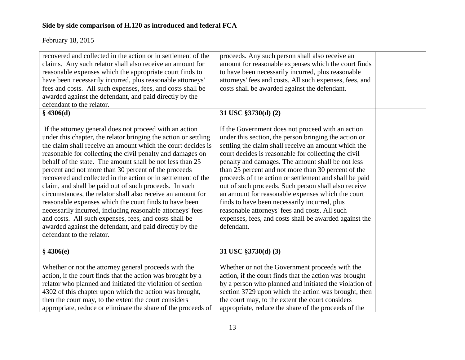| recovered and collected in the action or in settlement of the<br>claims. Any such relator shall also receive an amount for<br>reasonable expenses which the appropriate court finds to<br>have been necessarily incurred, plus reasonable attorneys'<br>fees and costs. All such expenses, fees, and costs shall be<br>awarded against the defendant, and paid directly by the<br>defendant to the relator.<br>$§$ 4306(d)                                                                                                                                                                                                                                                                                                                                                                                                                        | proceeds. Any such person shall also receive an<br>amount for reasonable expenses which the court finds<br>to have been necessarily incurred, plus reasonable<br>attorneys' fees and costs. All such expenses, fees, and<br>costs shall be awarded against the defendant.<br>31 USC §3730(d) (2)                                                                                                                                                                                                                                                                                                                                                                                         |  |
|---------------------------------------------------------------------------------------------------------------------------------------------------------------------------------------------------------------------------------------------------------------------------------------------------------------------------------------------------------------------------------------------------------------------------------------------------------------------------------------------------------------------------------------------------------------------------------------------------------------------------------------------------------------------------------------------------------------------------------------------------------------------------------------------------------------------------------------------------|------------------------------------------------------------------------------------------------------------------------------------------------------------------------------------------------------------------------------------------------------------------------------------------------------------------------------------------------------------------------------------------------------------------------------------------------------------------------------------------------------------------------------------------------------------------------------------------------------------------------------------------------------------------------------------------|--|
| If the attorney general does not proceed with an action<br>under this chapter, the relator bringing the action or settling<br>the claim shall receive an amount which the court decides is<br>reasonable for collecting the civil penalty and damages on<br>behalf of the state. The amount shall be not less than 25<br>percent and not more than 30 percent of the proceeds<br>recovered and collected in the action or in settlement of the<br>claim, and shall be paid out of such proceeds. In such<br>circumstances, the relator shall also receive an amount for<br>reasonable expenses which the court finds to have been<br>necessarily incurred, including reasonable attorneys' fees<br>and costs. All such expenses, fees, and costs shall be<br>awarded against the defendant, and paid directly by the<br>defendant to the relator. | If the Government does not proceed with an action<br>under this section, the person bringing the action or<br>settling the claim shall receive an amount which the<br>court decides is reasonable for collecting the civil<br>penalty and damages. The amount shall be not less<br>than 25 percent and not more than 30 percent of the<br>proceeds of the action or settlement and shall be paid<br>out of such proceeds. Such person shall also receive<br>an amount for reasonable expenses which the court<br>finds to have been necessarily incurred, plus<br>reasonable attorneys' fees and costs. All such<br>expenses, fees, and costs shall be awarded against the<br>defendant. |  |
| \$4306(e)                                                                                                                                                                                                                                                                                                                                                                                                                                                                                                                                                                                                                                                                                                                                                                                                                                         | 31 USC §3730(d) (3)                                                                                                                                                                                                                                                                                                                                                                                                                                                                                                                                                                                                                                                                      |  |
| Whether or not the attorney general proceeds with the<br>action, if the court finds that the action was brought by a<br>relator who planned and initiated the violation of section<br>4302 of this chapter upon which the action was brought,<br>then the court may, to the extent the court considers                                                                                                                                                                                                                                                                                                                                                                                                                                                                                                                                            | Whether or not the Government proceeds with the<br>action, if the court finds that the action was brought<br>by a person who planned and initiated the violation of<br>section 3729 upon which the action was brought, then<br>the court may, to the extent the court considers                                                                                                                                                                                                                                                                                                                                                                                                          |  |
| appropriate, reduce or eliminate the share of the proceeds of                                                                                                                                                                                                                                                                                                                                                                                                                                                                                                                                                                                                                                                                                                                                                                                     | appropriate, reduce the share of the proceeds of the                                                                                                                                                                                                                                                                                                                                                                                                                                                                                                                                                                                                                                     |  |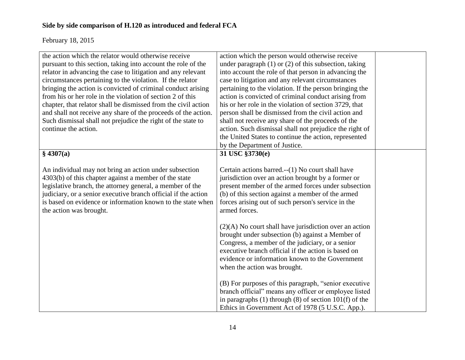| the action which the relator would otherwise receive<br>pursuant to this section, taking into account the role of the<br>relator in advancing the case to litigation and any relevant<br>circumstances pertaining to the violation. If the relator<br>bringing the action is convicted of criminal conduct arising                       | action which the person would otherwise receive<br>under paragraph $(1)$ or $(2)$ of this subsection, taking<br>into account the role of that person in advancing the<br>case to litigation and any relevant circumstances                                                                                                                                                                                 |  |
|------------------------------------------------------------------------------------------------------------------------------------------------------------------------------------------------------------------------------------------------------------------------------------------------------------------------------------------|------------------------------------------------------------------------------------------------------------------------------------------------------------------------------------------------------------------------------------------------------------------------------------------------------------------------------------------------------------------------------------------------------------|--|
| from his or her role in the violation of section 2 of this<br>chapter, that relator shall be dismissed from the civil action<br>and shall not receive any share of the proceeds of the action.<br>Such dismissal shall not prejudice the right of the state to<br>continue the action.                                                   | pertaining to the violation. If the person bringing the<br>action is convicted of criminal conduct arising from<br>his or her role in the violation of section 3729, that<br>person shall be dismissed from the civil action and<br>shall not receive any share of the proceeds of the<br>action. Such dismissal shall not prejudice the right of<br>the United States to continue the action, represented |  |
| \$4307(a)                                                                                                                                                                                                                                                                                                                                | by the Department of Justice.<br>31 USC §3730(e)                                                                                                                                                                                                                                                                                                                                                           |  |
| An individual may not bring an action under subsection<br>4303(b) of this chapter against a member of the state<br>legislative branch, the attorney general, a member of the<br>judiciary, or a senior executive branch official if the action<br>is based on evidence or information known to the state when<br>the action was brought. | Certain actions barred.--(1) No court shall have<br>jurisdiction over an action brought by a former or<br>present member of the armed forces under subsection<br>(b) of this section against a member of the armed<br>forces arising out of such person's service in the<br>armed forces.                                                                                                                  |  |
|                                                                                                                                                                                                                                                                                                                                          | $(2)(A)$ No court shall have jurisdiction over an action<br>brought under subsection (b) against a Member of<br>Congress, a member of the judiciary, or a senior<br>executive branch official if the action is based on<br>evidence or information known to the Government<br>when the action was brought.                                                                                                 |  |
|                                                                                                                                                                                                                                                                                                                                          | (B) For purposes of this paragraph, "senior executive<br>branch official" means any officer or employee listed<br>in paragraphs $(1)$ through $(8)$ of section $101(f)$ of the<br>Ethics in Government Act of 1978 (5 U.S.C. App.).                                                                                                                                                                        |  |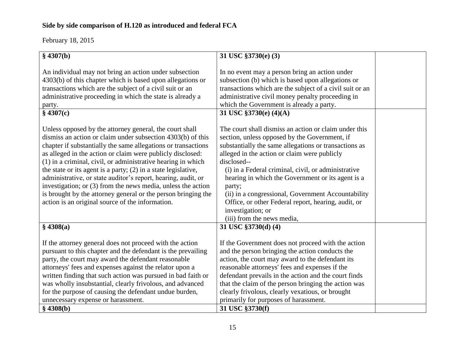| \$4307(b)                                                                                                                                                                                                                                                                                                                                                                                                                                                               | 31 USC §3730(e) (3)                                                                                                                                                                                                                                                                                                                                                                                                      |  |
|-------------------------------------------------------------------------------------------------------------------------------------------------------------------------------------------------------------------------------------------------------------------------------------------------------------------------------------------------------------------------------------------------------------------------------------------------------------------------|--------------------------------------------------------------------------------------------------------------------------------------------------------------------------------------------------------------------------------------------------------------------------------------------------------------------------------------------------------------------------------------------------------------------------|--|
|                                                                                                                                                                                                                                                                                                                                                                                                                                                                         |                                                                                                                                                                                                                                                                                                                                                                                                                          |  |
| An individual may not bring an action under subsection<br>4303(b) of this chapter which is based upon allegations or<br>transactions which are the subject of a civil suit or an<br>administrative proceeding in which the state is already a<br>party.<br>\$4307(c)<br>Unless opposed by the attorney general, the court shall<br>dismiss an action or claim under subsection 4303(b) of this                                                                          | In no event may a person bring an action under<br>subsection (b) which is based upon allegations or<br>transactions which are the subject of a civil suit or an<br>administrative civil money penalty proceeding in<br>which the Government is already a party.<br>31 USC §3730(e) (4)(A)<br>The court shall dismiss an action or claim under this<br>section, unless opposed by the Government, if                      |  |
| chapter if substantially the same allegations or transactions                                                                                                                                                                                                                                                                                                                                                                                                           | substantially the same allegations or transactions as                                                                                                                                                                                                                                                                                                                                                                    |  |
| as alleged in the action or claim were publicly disclosed:<br>(1) in a criminal, civil, or administrative hearing in which                                                                                                                                                                                                                                                                                                                                              | alleged in the action or claim were publicly<br>disclosed--                                                                                                                                                                                                                                                                                                                                                              |  |
| the state or its agent is a party; $(2)$ in a state legislative,<br>administrative, or state auditor's report, hearing, audit, or<br>investigation; or (3) from the news media, unless the action<br>is brought by the attorney general or the person bringing the<br>action is an original source of the information.                                                                                                                                                  | (i) in a Federal criminal, civil, or administrative<br>hearing in which the Government or its agent is a<br>party;<br>(ii) in a congressional, Government Accountability<br>Office, or other Federal report, hearing, audit, or<br>investigation; or<br>(iii) from the news media,                                                                                                                                       |  |
| \$4308(a)                                                                                                                                                                                                                                                                                                                                                                                                                                                               | 31 USC §3730(d) (4)                                                                                                                                                                                                                                                                                                                                                                                                      |  |
| If the attorney general does not proceed with the action<br>pursuant to this chapter and the defendant is the prevailing<br>party, the court may award the defendant reasonable<br>attorneys' fees and expenses against the relator upon a<br>written finding that such action was pursued in bad faith or<br>was wholly insubstantial, clearly frivolous, and advanced<br>for the purpose of causing the defendant undue burden,<br>unnecessary expense or harassment. | If the Government does not proceed with the action<br>and the person bringing the action conducts the<br>action, the court may award to the defendant its<br>reasonable attorneys' fees and expenses if the<br>defendant prevails in the action and the court finds<br>that the claim of the person bringing the action was<br>clearly frivolous, clearly vexatious, or brought<br>primarily for purposes of harassment. |  |
| \$4308(b)                                                                                                                                                                                                                                                                                                                                                                                                                                                               | 31 USC §3730(f)                                                                                                                                                                                                                                                                                                                                                                                                          |  |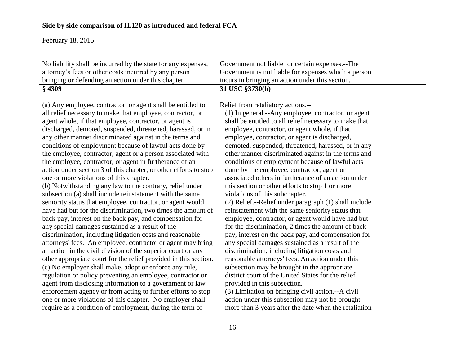| No liability shall be incurred by the state for any expenses,<br>attorney's fees or other costs incurred by any person<br>bringing or defending an action under this chapter.<br>$§$ 4309                                                                                                                                                                                                                                                                                                                                                                                                                                                                                                                                                                                                                                                                                                                                                                                                                                                                                                                                                                                                                                                                                                                                                                                                                                                                                                                    | Government not liable for certain expenses.--The<br>Government is not liable for expenses which a person<br>incurs in bringing an action under this section.<br>31 USC §3730(h)                                                                                                                                                                                                                                                                                                                                                                                                                                                                                                                                                                                                                                                                                                                                                                                                                                                                                                                                                                                                                                                                       |  |
|--------------------------------------------------------------------------------------------------------------------------------------------------------------------------------------------------------------------------------------------------------------------------------------------------------------------------------------------------------------------------------------------------------------------------------------------------------------------------------------------------------------------------------------------------------------------------------------------------------------------------------------------------------------------------------------------------------------------------------------------------------------------------------------------------------------------------------------------------------------------------------------------------------------------------------------------------------------------------------------------------------------------------------------------------------------------------------------------------------------------------------------------------------------------------------------------------------------------------------------------------------------------------------------------------------------------------------------------------------------------------------------------------------------------------------------------------------------------------------------------------------------|-------------------------------------------------------------------------------------------------------------------------------------------------------------------------------------------------------------------------------------------------------------------------------------------------------------------------------------------------------------------------------------------------------------------------------------------------------------------------------------------------------------------------------------------------------------------------------------------------------------------------------------------------------------------------------------------------------------------------------------------------------------------------------------------------------------------------------------------------------------------------------------------------------------------------------------------------------------------------------------------------------------------------------------------------------------------------------------------------------------------------------------------------------------------------------------------------------------------------------------------------------|--|
| (a) Any employee, contractor, or agent shall be entitled to<br>all relief necessary to make that employee, contractor, or<br>agent whole, if that employee, contractor, or agent is<br>discharged, demoted, suspended, threatened, harassed, or in<br>any other manner discriminated against in the terms and<br>conditions of employment because of lawful acts done by<br>the employee, contractor, agent or a person associated with<br>the employee, contractor, or agent in furtherance of an<br>action under section 3 of this chapter, or other efforts to stop<br>one or more violations of this chapter.<br>(b) Notwithstanding any law to the contrary, relief under<br>subsection (a) shall include reinstatement with the same<br>seniority status that employee, contractor, or agent would<br>have had but for the discrimination, two times the amount of<br>back pay, interest on the back pay, and compensation for<br>any special damages sustained as a result of the<br>discrimination, including litigation costs and reasonable<br>attorneys' fees. An employee, contractor or agent may bring<br>an action in the civil division of the superior court or any<br>other appropriate court for the relief provided in this section.<br>(c) No employer shall make, adopt or enforce any rule,<br>regulation or policy preventing an employee, contractor or<br>agent from disclosing information to a government or law<br>enforcement agency or from acting to further efforts to stop | Relief from retaliatory actions.--<br>(1) In general.--Any employee, contractor, or agent<br>shall be entitled to all relief necessary to make that<br>employee, contractor, or agent whole, if that<br>employee, contractor, or agent is discharged,<br>demoted, suspended, threatened, harassed, or in any<br>other manner discriminated against in the terms and<br>conditions of employment because of lawful acts<br>done by the employee, contractor, agent or<br>associated others in furtherance of an action under<br>this section or other efforts to stop 1 or more<br>violations of this subchapter.<br>(2) Relief.--Relief under paragraph (1) shall include<br>reinstatement with the same seniority status that<br>employee, contractor, or agent would have had but<br>for the discrimination, 2 times the amount of back<br>pay, interest on the back pay, and compensation for<br>any special damages sustained as a result of the<br>discrimination, including litigation costs and<br>reasonable attorneys' fees. An action under this<br>subsection may be brought in the appropriate<br>district court of the United States for the relief<br>provided in this subsection.<br>(3) Limitation on bringing civil action.--A civil |  |
| one or more violations of this chapter. No employer shall<br>require as a condition of employment, during the term of                                                                                                                                                                                                                                                                                                                                                                                                                                                                                                                                                                                                                                                                                                                                                                                                                                                                                                                                                                                                                                                                                                                                                                                                                                                                                                                                                                                        | action under this subsection may not be brought<br>more than 3 years after the date when the retaliation                                                                                                                                                                                                                                                                                                                                                                                                                                                                                                                                                                                                                                                                                                                                                                                                                                                                                                                                                                                                                                                                                                                                              |  |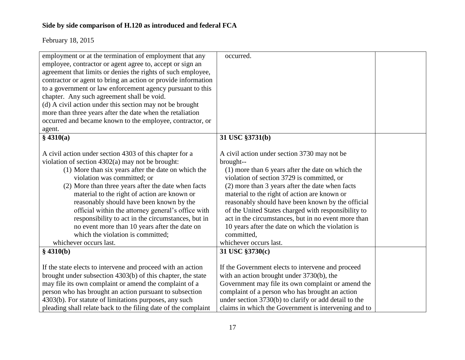| employment or at the termination of employment that any        | occurred.                                             |  |
|----------------------------------------------------------------|-------------------------------------------------------|--|
| employee, contractor or agent agree to, accept or sign an      |                                                       |  |
| agreement that limits or denies the rights of such employee,   |                                                       |  |
| contractor or agent to bring an action or provide information  |                                                       |  |
| to a government or law enforcement agency pursuant to this     |                                                       |  |
| chapter. Any such agreement shall be void.                     |                                                       |  |
| (d) A civil action under this section may not be brought       |                                                       |  |
| more than three years after the date when the retaliation      |                                                       |  |
| occurred and became known to the employee, contractor, or      |                                                       |  |
| agent.                                                         |                                                       |  |
| § 4310(a)                                                      | 31 USC §3731(b)                                       |  |
|                                                                |                                                       |  |
| A civil action under section 4303 of this chapter for a        | A civil action under section 3730 may not be          |  |
| violation of section $4302(a)$ may not be brought:             | brought--                                             |  |
| (1) More than six years after the date on which the            | (1) more than 6 years after the date on which the     |  |
| violation was committed; or                                    | violation of section 3729 is committed, or            |  |
| (2) More than three years after the date when facts            | (2) more than 3 years after the date when facts       |  |
| material to the right of action are known or                   | material to the right of action are known or          |  |
| reasonably should have been known by the                       | reasonably should have been known by the official     |  |
| official within the attorney general's office with             | of the United States charged with responsibility to   |  |
| responsibility to act in the circumstances, but in             | act in the circumstances, but in no event more than   |  |
| no event more than 10 years after the date on                  | 10 years after the date on which the violation is     |  |
| which the violation is committed;                              | committed,                                            |  |
| whichever occurs last.                                         | whichever occurs last.                                |  |
| $§$ 4310(b)                                                    | 31 USC §3730(c)                                       |  |
|                                                                |                                                       |  |
| If the state elects to intervene and proceed with an action    | If the Government elects to intervene and proceed     |  |
| brought under subsection 4303(b) of this chapter, the state    | with an action brought under 3730(b), the             |  |
| may file its own complaint or amend the complaint of a         | Government may file its own complaint or amend the    |  |
| person who has brought an action pursuant to subsection        | complaint of a person who has brought an action       |  |
| 4303(b). For statute of limitations purposes, any such         | under section 3730(b) to clarify or add detail to the |  |
| pleading shall relate back to the filing date of the complaint | claims in which the Government is intervening and to  |  |
|                                                                |                                                       |  |